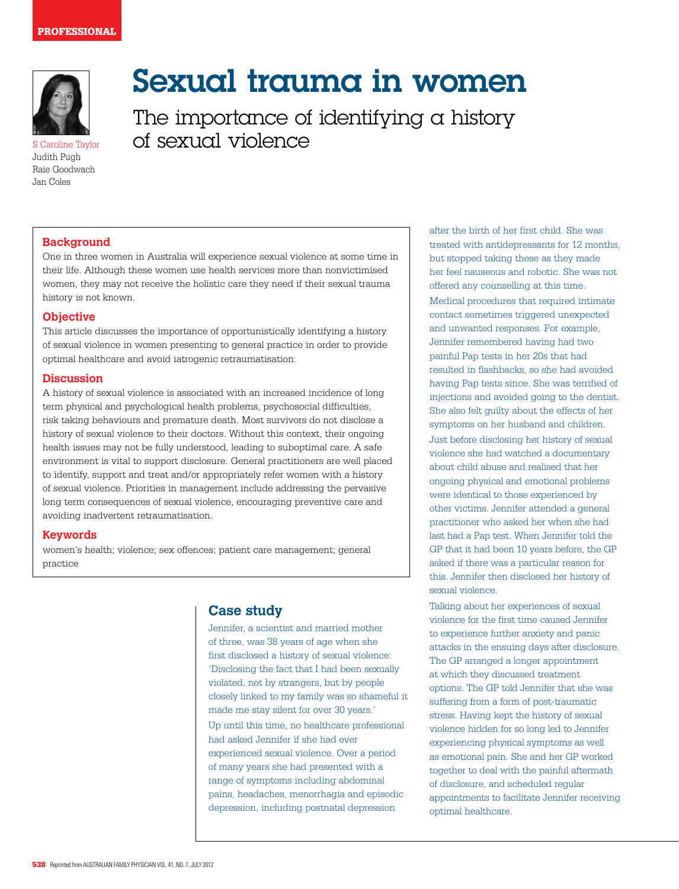

S Caroline Taylor Judith Pugh Raie Goodwach Jan Coles

# Sexual trauma in women

The importance of identifying a history of sexual violence

## **Background**

One in three women in Australia will experience sexual violence at some time in their life. Although these women use health services more than nonvictimised women, they may not receive the holistic care they need if their sexual trauma history is not known.

## **Objective**

This article discusses the importance of opportunistically identifying a history of sexual violence in women presenting to general practice in order to provide optimal healthcare and avoid iatrogenic retraumatisation.

### **Discussion**

A history of sexual violence is associated with an increased incidence of long term physical and psychological health problems, psychosocial difficulties, risk taking behaviours and premature death. Most survivors do not disclose a history of sexual violence to their doctors. Without this context, their ongoing health issues may not be fully understood, leading to suboptimal care. A safe environment is vital to support disclosure. General practitioners are well placed to identify, support and treat and/or appropriately refer women with a history of sexual violence. Priorities in management include addressing the pervasive long term consequences of sexual violence, encouraging preventive care and avoiding inadvertent retraumatisation.

### **Keywords**

women's health; violence; sex offences; patient care management; general practice

# **Case study**

Jennifer, a scientist and married mother of three, was 38 years of age when she first disclosed a history of sexual violence: 'Disclosing the fact that I had been sexually violated, not by strangers, but by people closely linked to my family was so shameful it made me stay silent for over 30 years.' Up until this time, no healthcare professional had asked Jennifer if she had ever experienced sexual violence. Over a period of many years she had presented with a range of symptoms including abdominal pains, headaches, menorrhagia and episodic depression, including postnatal depression

after the birth of her first child. She was treated with antidepressants for 12 months, but stopped taking these as they made her feel nauseous and robotic. She was not offered any counselling at this time. Medical procedures that required intimate contact sometimes triggered unexpected and unwanted responses. For example, Jennifer remembered having had two painful Pap tests in her 20s that had resulted in flashbacks, so she had avoided having Pap tests since. She was terrified of injections and avoided going to the dentist. She also felt guilty about the effects of her symptoms on her husband and children. Just before disclosing her history of sexual violence she had watched a documentary about child abuse and realised that her ongoing physical and emotional problems were identical to those experienced by other victims. Jennifer attended a general practitioner who asked her when she had last had a Pap test. When Jennifer told the GP that it had been 10 years before, the GP asked if there was a particular reason for this. Jennifer then disclosed her history of sexual violence.

Talking about her experiences of sexual violence for the first time caused Jennifer to experience further anxiety and panic attacks in the ensuing days after disclosure. The GP arranged a longer appointment at which they discussed treatment options. The GP told Jennifer that she was suffering from a form of post-traumatic stress. Having kept the history of sexual violence hidden for so long led to Jennifer experiencing physical symptoms as well as emotional pain. She and her GP worked together to deal with the painful aftermath of disclosure, and scheduled regular appointments to facilitate Jennifer receiving optimal healthcare.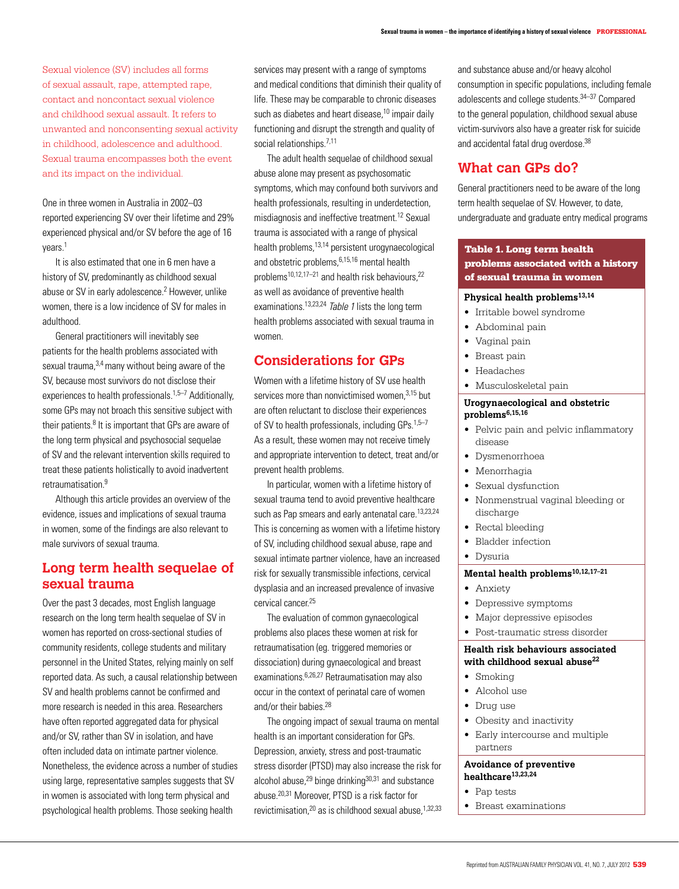Sexual violence (SV) includes all forms of sexual assault, rape, attempted rape, contact and noncontact sexual violence and childhood sexual assault. It refers to unwanted and nonconsenting sexual activity in childhood, adolescence and adulthood. Sexual trauma encompasses both the event and its impact on the individual.

One in three women in Australia in 2002–03 reported experiencing SV over their lifetime and 29% experienced physical and/or SV before the age of 16 years<sup>1</sup>

 It is also estimated that one in 6 men have a history of SV, predominantly as childhood sexual abuse or SV in early adolescence.<sup>2</sup> However, unlike women, there is a low incidence of SV for males in adulthood.

General practitioners will inevitably see patients for the health problems associated with sexual trauma, 3,4 many without being aware of the SV, because most survivors do not disclose their experiences to health professionals.<sup>1,5–7</sup> Additionally, some GPs may not broach this sensitive subject with their patients. $8$  It is important that GPs are aware of the long term physical and psychosocial sequelae of SV and the relevant intervention skills required to treat these patients holistically to avoid inadvertent retraumatisation.9

Although this article provides an overview of the evidence, issues and implications of sexual trauma in women, some of the findings are also relevant to male survivors of sexual trauma.

# **Long term health sequelae of sexual trauma**

Over the past 3 decades, most English language research on the long term health sequelae of SV in women has reported on cross-sectional studies of community residents, college students and military personnel in the United States, relying mainly on self reported data. As such, a causal relationship between SV and health problems cannot be confirmed and more research is needed in this area. Researchers have often reported aggregated data for physical and/or SV, rather than SV in isolation, and have often included data on intimate partner violence. Nonetheless, the evidence across a number of studies using large, representative samples suggests that SV in women is associated with long term physical and psychological health problems. Those seeking health

services may present with a range of symptoms and medical conditions that diminish their quality of life. These may be comparable to chronic diseases such as diabetes and heart disease.<sup>10</sup> impair daily functioning and disrupt the strength and quality of social relationships.<sup>7,11</sup>

The adult health sequelae of childhood sexual abuse alone may present as psychosomatic symptoms, which may confound both survivors and health professionals, resulting in underdetection, misdiagnosis and ineffective treatment.12 Sexual trauma is associated with a range of physical health problems,13,14 persistent urogynaecological and obstetric problems,6,15,16 mental health problems<sup>10,12,17–21</sup> and health risk behaviours.<sup>22</sup> as well as avoidance of preventive health examinations.<sup>13,23,24</sup> Table 1 lists the long term health problems associated with sexual trauma in women.

# **Considerations for GPs**

Women with a lifetime history of SV use health services more than nonvictimised women,<sup>3,15</sup> but are often reluctant to disclose their experiences of SV to health professionals, including  $GPs$ .<sup>1,5–7</sup> As a result, these women may not receive timely and appropriate intervention to detect, treat and/or prevent health problems.

In particular, women with a lifetime history of sexual trauma tend to avoid preventive healthcare such as Pap smears and early antenatal care.<sup>13,23,24</sup> This is concerning as women with a lifetime history of SV, including childhood sexual abuse, rape and sexual intimate partner violence, have an increased risk for sexually transmissible infections, cervical dysplasia and an increased prevalence of invasive cervical cancer.25

The evaluation of common gynaecological problems also places these women at risk for retraumatisation (eg. triggered memories or dissociation) during gynaecological and breast examinations.6,26,27 Retraumatisation may also occur in the context of perinatal care of women and/or their babies.<sup>28</sup>

The ongoing impact of sexual trauma on mental health is an important consideration for GPs. Depression, anxiety, stress and post-traumatic stress disorder (PTSD) may also increase the risk for alcohol abuse, $^{29}$  binge drinking $^{30,31}$  and substance abuse.20,31 Moreover, PTSD is a risk factor for revictimisation, $^{20}$  as is childhood sexual abuse, $^{1,32,33}$  and substance abuse and/or heavy alcohol consumption in specific populations, including female adolescents and college students.34–37 Compared to the general population, childhood sexual abuse victim-survivors also have a greater risk for suicide and accidental fatal drug overdose.<sup>38</sup>

# **What can GPs do?**

General practitioners need to be aware of the long term health sequelae of SV. However, to date, undergraduate and graduate entry medical programs

## Table 1. Long term health problems associated with a history of sexual trauma in women

## **Physical health problems13,14**

- • Irritable bowel syndrome
- Abdominal pain
- Vaginal pain
- • Breast pain
- • Headaches
- Musculoskeletal pain

#### **Urogynaecological and obstetric problems6,15,16**

- Pelvic pain and pelvic inflammatory disease
- • Dysmenorrhoea
- • Menorrhagia
- Sexual dysfunction
- • Nonmenstrual vaginal bleeding or discharge
- Rectal bleeding
- **Bladder** infection

#### **Dysuria**

## **Mental health problems10,12,17–21**

- • Anxiety
- • Depressive symptoms
- • Major depressive episodes
- Post-traumatic stress disorder

### **Health risk behaviours associated**  with childhood sexual abuse<sup>22</sup>

- Smoking
- Alcohol use
- • Drug use
- Obesity and inactivity
- Early intercourse and multiple partners

#### **Avoidance of preventive healthcare13,23,24**

- Pap tests
- **Breast examinations**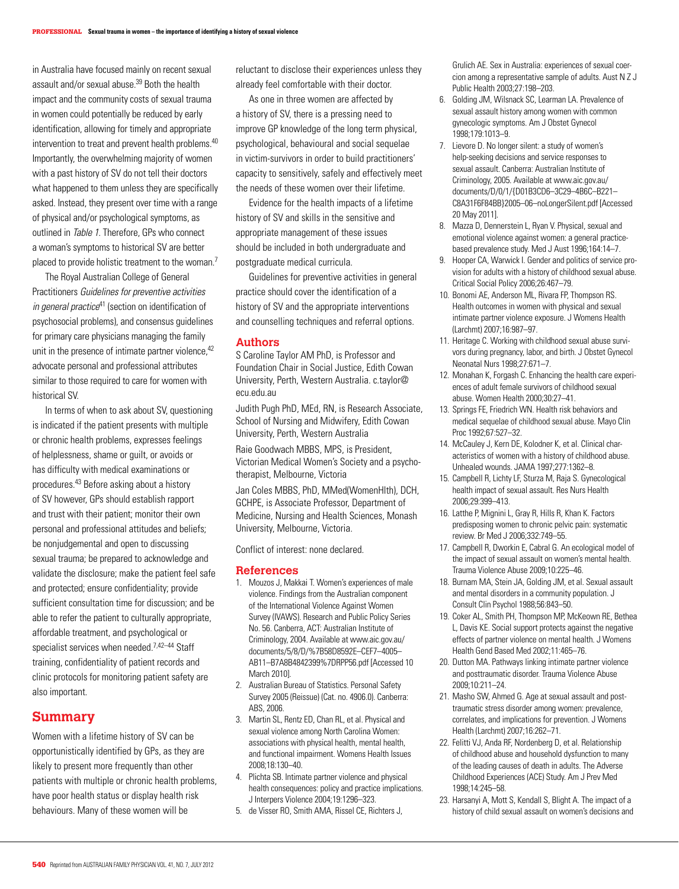in Australia have focused mainly on recent sexual assault and/or sexual abuse.39 Both the health impact and the community costs of sexual trauma in women could potentially be reduced by early identification, allowing for timely and appropriate intervention to treat and prevent health problems.<sup>40</sup> Importantly, the overwhelming majority of women with a past history of SV do not tell their doctors what happened to them unless they are specifically asked. Instead, they present over time with a range of physical and/or psychological symptoms, as outlined in Table 1. Therefore, GPs who connect a woman's symptoms to historical SV are better placed to provide holistic treatment to the woman.7

The Royal Australian College of General Practitioners Guidelines for preventive activities in general practice<sup>41</sup> (section on identification of psychosocial problems), and consensus guidelines for primary care physicians managing the family unit in the presence of intimate partner violence, 42 advocate personal and professional attributes similar to those required to care for women with historical SV.

In terms of when to ask about SV, questioning is indicated if the patient presents with multiple or chronic health problems, expresses feelings of helplessness, shame or guilt, or avoids or has difficulty with medical examinations or procedures.43 Before asking about a history of SV however, GPs should establish rapport and trust with their patient; monitor their own personal and professional attitudes and beliefs; be nonjudgemental and open to discussing sexual trauma; be prepared to acknowledge and validate the disclosure; make the patient feel safe and protected; ensure confidentiality; provide sufficient consultation time for discussion; and be able to refer the patient to culturally appropriate, affordable treatment, and psychological or specialist services when needed.<sup>7,42-44</sup> Staff training, confidentiality of patient records and clinic protocols for monitoring patient safety are also important.

## **Summary**

Women with a lifetime history of SV can be opportunistically identified by GPs, as they are likely to present more frequently than other patients with multiple or chronic health problems, have poor health status or display health risk behaviours. Many of these women will be

reluctant to disclose their experiences unless they already feel comfortable with their doctor.

As one in three women are affected by a history of SV, there is a pressing need to improve GP knowledge of the long term physical, psychological, behavioural and social sequelae in victim-survivors in order to build practitioners' capacity to sensitively, safely and effectively meet the needs of these women over their lifetime.

Evidence for the health impacts of a lifetime history of SV and skills in the sensitive and appropriate management of these issues should be included in both undergraduate and postgraduate medical curricula.

Guidelines for preventive activities in general practice should cover the identification of a history of SV and the appropriate interventions and counselling techniques and referral options.

#### **Authors**

S Caroline Taylor AM PhD, is Professor and Foundation Chair in Social Justice, Edith Cowan University, Perth, Western Australia. c.taylor@ ecu.edu.au

Judith Pugh PhD, MEd, RN, is Research Associate, School of Nursing and Midwifery, Edith Cowan University, Perth, Western Australia Raie Goodwach MBBS, MPS, is President,

Victorian Medical Women's Society and a psychotherapist, Melbourne, Victoria

Jan Coles MBBS, PhD, MMed(WomenHlth), DCH, GCHPE, is Associate Professor, Department of Medicine, Nursing and Health Sciences, Monash University, Melbourne, Victoria.

Conflict of interest: none declared.

#### **References**

- 1. Mouzos J, Makkai T. Women's experiences of male violence. Findings from the Australian component of the International Violence Against Women Survey (IVAWS). Research and Public Policy Series No. 56. Canberra, ACT: Australian Institute of Criminology, 2004. Available at www.aic.gov.au/ documents/5/8/D/%7B58D8592E–CEF7–4005– AB11–B7A8B4842399%7DRPP56.pdf [Accessed 10 March 2010].
- 2. Australian Bureau of Statistics. Personal Safety Survey 2005 (Reissue) (Cat. no. 4906.0). Canberra: ABS, 2006.
- 3. Martin SL, Rentz ED, Chan RL, et al. Physical and sexual violence among North Carolina Women: associations with physical health, mental health, and functional impairment. Womens Health Issues 2008;18:130–40.
- 4. Plichta SB. Intimate partner violence and physical health consequences: policy and practice implications. J Interpers Violence 2004;19:1296–323.
- 5. de Visser RO, Smith AMA, Rissel CE, Richters J,

Grulich AE. Sex in Australia: experiences of sexual coercion among a representative sample of adults. Aust N Z J Public Health 2003;27:198–203.

- 6. Golding JM, Wilsnack SC, Learman LA. Prevalence of sexual assault history among women with common gynecologic symptoms. Am J Obstet Gynecol 1998;179:1013–9.
- 7. Lievore D. No longer silent: a study of women's help-seeking decisions and service responses to sexual assault. Canberra: Australian Institute of Criminology, 2005. Available at www.aic.gov.au/ documents/D/0/1/{D01B3CD6–3C29–4B6C–B221– C8A31F6F84BB}2005–06–noLongerSilent.pdf [Accessed 20 May 2011].
- 8. Mazza D, Dennerstein L, Ryan V. Physical, sexual and emotional violence against women: a general practicebased prevalence study. Med J Aust 1996;164:14–7.
- 9. Hooper CA, Warwick I. Gender and politics of service provision for adults with a history of childhood sexual abuse. Critical Social Policy 2006;26:467–79.
- 10. Bonomi AE, Anderson ML, Rivara FP, Thompson RS. Health outcomes in women with physical and sexual intimate partner violence exposure. J Womens Health (Larchmt) 2007;16:987–97.
- 11. Heritage C. Working with childhood sexual abuse survivors during pregnancy, labor, and birth. J Obstet Gynecol Neonatal Nurs 1998;27:671–7.
- 12. Monahan K, Forgash C. Enhancing the health care experiences of adult female survivors of childhood sexual abuse. Women Health 2000;30:27–41.
- 13. Springs FE, Friedrich WN. Health risk behaviors and medical sequelae of childhood sexual abuse. Mayo Clin Proc 1992;67:527–32.
- 14. McCauley J, Kern DE, Kolodner K, et al. Clinical characteristics of women with a history of childhood abuse. Unhealed wounds. JAMA 1997;277:1362–8.
- 15. Campbell R, Lichty LF, Sturza M, Raja S. Gynecological health impact of sexual assault. Res Nurs Health 2006;29:399–413.
- 16. Latthe P, Mignini L, Gray R, Hills R, Khan K. Factors predisposing women to chronic pelvic pain: systematic review. Br Med J 2006;332:749–55.
- 17. Campbell R, Dworkin E, Cabral G. An ecological model of the impact of sexual assault on women's mental health. Trauma Violence Abuse 2009;10:225–46.
- 18. Burnam MA, Stein JA, Golding JM, et al. Sexual assault and mental disorders in a community population. J Consult Clin Psychol 1988;56:843–50.
- 19. Coker AL, Smith PH, Thompson MP, McKeown RE, Bethea L, Davis KE. Social support protects against the negative effects of partner violence on mental health. J Womens Health Gend Based Med 2002;11:465–76.
- 20. Dutton MA. Pathways linking intimate partner violence and posttraumatic disorder. Trauma Violence Abuse 2009;10:211–24.
- 21. Masho SW, Ahmed G. Age at sexual assault and posttraumatic stress disorder among women: prevalence, correlates, and implications for prevention. J Womens Health (Larchmt) 2007;16:262–71.
- 22. Felitti VJ, Anda RF, Nordenberg D, et al. Relationship of childhood abuse and household dysfunction to many of the leading causes of death in adults. The Adverse Childhood Experiences (ACE) Study. Am J Prev Med 1998;14:245–58.
- 23. Harsanyi A, Mott S, Kendall S, Blight A. The impact of a history of child sexual assault on women's decisions and